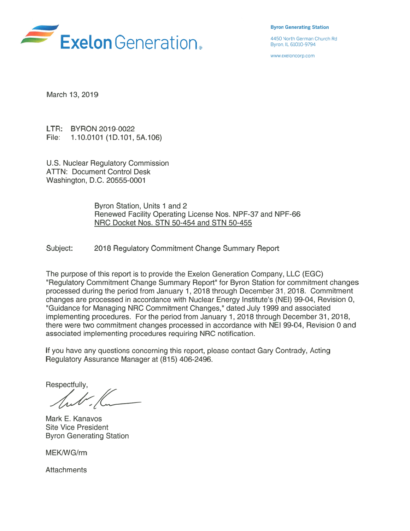

Byron Generating Station

www.exeloncorp.com

March 13, 2019

LTR: BYRON 2019-0022 File: 1.10.0101 (1D.101, 5A.106)

U.S. Nuclear Regulatory Commission ATTN: Document Control Desk Washington, D.C. 20555-0001

> Byron Station, Units <sup>1</sup> and 2 Renewed Facility Operating License Nos. NPF-37 and NPF-66 NRC Docket Nos. STN 50-454 and STN 50-455

Subject: 2018 Regulatory Commitment Change Summary Report

The purpose of this report is to provide the Exelon Generation Company, LLC (EGC) "Regulatory Commitment Change Summary Report" for Byron Station for commitment changes processed during the period from January 1, 2018 through December 31, 2018. Commitment changes are processed in accordance with Nuclear Energy Institute's (NEI) 99-04, Revision 0, "Guidance for Managing NRC Commitment Changes," dated July 1999 and associated implementing procedures. For the period from January 1, 2018 through December 31, 2018, there were two commitment changes processed in accordance with NEI 99-04, Revision 0 and associated implementing procedures requiring NRC notification.

If you have any questions concerning this report, please contact Gary Contrady, Acting Regulatory Assurance Manager at (815) 406-2496.

Respectfully,

Mark E. Kanavos Site Vice President Byron Generating Station

MEK/WG/rm

**Attachments**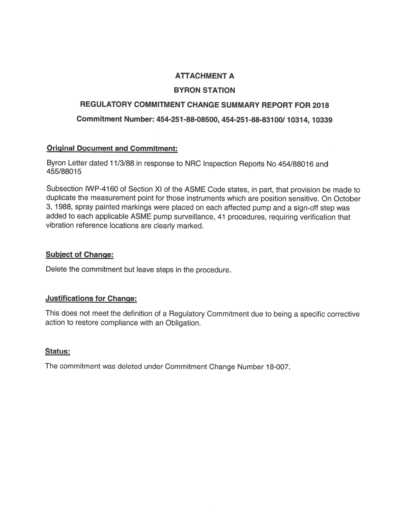# ATTACHMENT A

# BYRON STATION

# REGULATORY COMMITMENT CHANGE SUMMARY REPORT FOR 2018

Commitment Number: 454-251 -88-08500, 454-251 -88-831 00/ <sup>1</sup> 031 4, 10339

### Original Document and Commitment:

Byron Letter dated <sup>1</sup> 1/3/88 in response to NRC Inspection Reports No 454/88016 and 455/88015

Subsection IWP-4160 of Section Xl of the ASME Code states, in part, that provision be made to duplicate the measurement point for those instruments which are position sensitive. On October 3, <sup>1</sup> 988, spray painted markings were placed on each affected pump and a sign-off step was added to each applicable ASME pump surveillance, 41 procedures, requiring verification that vibration reference locations are clearly marked.

### Subject of Change:

Delete the commitment but leave steps in the procedure.

### Justifications for Change:

This does not meet the definition of a Regulatory Commitment due to being a specific corrective action to restore compliance with an Obligation.

### Status:

The commitment was deleted under Commitment Change Number 18-007.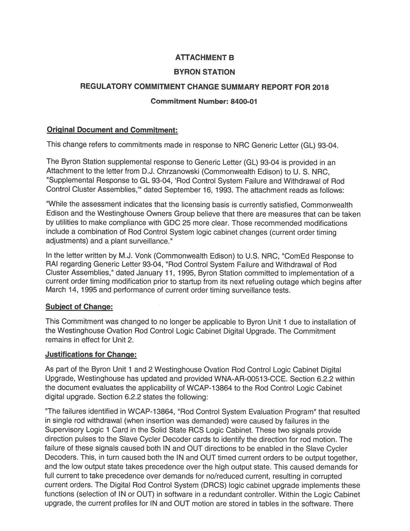# ATTACHMENT B

### BYRON STATION

### REGULATORY COMMITMENT CHANGE SUMMARY REPORT FOR 2018

### Commitment Number: 8400-01

### Original Document and Commitment:

This change refers to commitments made in response to NRC Generic Letter (GL) 93-04.

The Byron Station supplemental response to Generic Letter (GL) 93-04 is provided in an Attachment to the letter from D.J. Chrzanowski (Commonwealth Edison) to U. S. NRC, "Supplemental Response to GL 93-04, 'Rod Control System Failure and Withdrawal of Rod Control Cluster Assemblies," dated September 16, 1993. The attachment reads as follows:

"While the assessment indicates that the licensing basis is currently satisfied, Commonwealth Edison and the Westinghouse Owners Group believe that there are measures that can be taken by utilities to make compliance with GDC 25 more clear. Those recommended modifications include a combination of Rod Control System logic cabinet changes (current order timing adjustments) and a plant surveillance."

In the letter written by M.J. Vonk (Commonwealth Edison) to U.S. NRC, "ComEd Response to RAI regarding Generic Letter 93-04, "Rod Control System Failure and Withdrawal of Rod Cluster Assemblies," dated January 11, 1995, Byron Station committed to implementation of a current order timing modification prior to startup from its next refueling outage which begins after March 14, 1995 and performance of current order timing surveillance tests.

### Subject of Change:

This Commitment was changed to no longer be applicable to Byron Unit <sup>1</sup> due to installation of the Westinghouse Ovation Rod Control Logic Cabinet Digital Upgrade. The Commitment remains in effect for Unit 2.

### Justifications for Change:

As part of the Byron Unit <sup>1</sup> and 2 Westinghouse Ovation Rod Control Logic Cabinet Digital Upgrade, Westinghouse has updated and provided WNA-AR-00513-CCE. Section 6.2.2 within the document evaluates the applicability of WCAP-13864 to the Rod Control Logic Cabinet digital upgrade. Section 6.2.2 states the following:

"The failures identified in WCAP-13864, "Rod Control System Evaluation Program" that resulted in single rod withdrawal (when insertion was demanded) were caused by failures in the Supervisory Logic <sup>1</sup> Card in the Solid State RCS Logic Cabinet. These two signals provide direction pulses to the Slave Cycler Decoder cards to identify the direction for rod motion. The failure of these signals caused both IN and OUT directions to be enabled in the Slave Cycler Decoders. This, in turn caused both the IN and OUT timed current orders to be output together, and the low output state takes precedence over the high output state. This caused demands for full current to take precedence over demands for no/reduced current, resulting in corrupted current orders. The Digital Rod Control System (DRCS) logic cabinet upgrade implements these functions (selection of IN or OUT) in software in a redundant controller. Within the Logic Cabinet upgrade, the current profiles for IN and OUT motion are stored in tables in the software. There